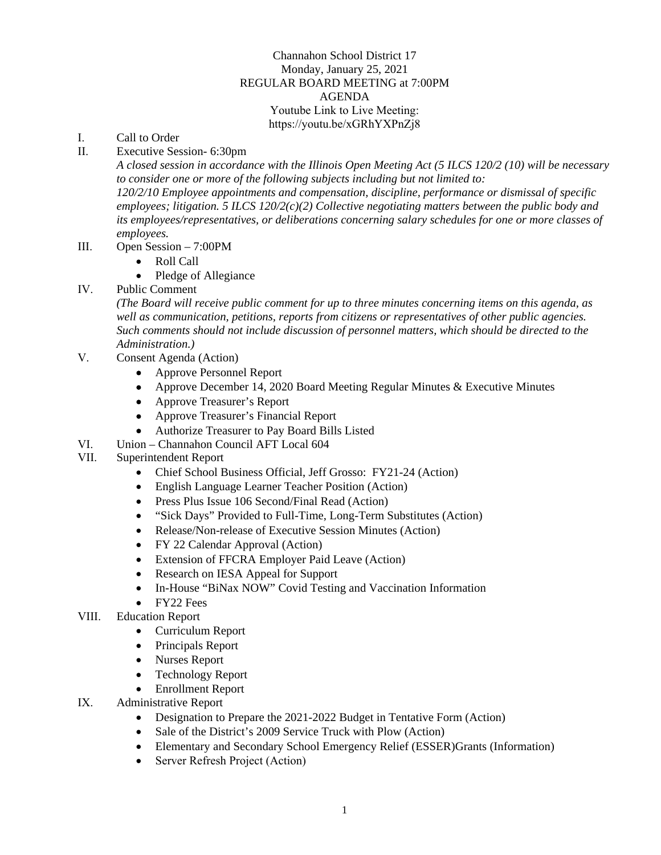## Channahon School District 17 Monday, January 25, 2021 REGULAR BOARD MEETING at 7:00PM AGENDA Youtube Link to Live Meeting: https://youtu.be/xGRhYXPnZj8

- I. Call to Order
- II. Executive Session- 6:30pm

*A closed session in accordance with the Illinois Open Meeting Act (5 ILCS 120/2 (10) will be necessary to consider one or more of the following subjects including but not limited to: 120/2/10 Employee appointments and compensation, discipline, performance or dismissal of specific employees; litigation. 5 ILCS 120/2(c)(2) Collective negotiating matters between the public body and its employees/representatives, or deliberations concerning salary schedules for one or more classes of employees.*

- III. Open Session 7:00PM
	- Roll Call
	- Pledge of Allegiance
- IV. Public Comment

*(The Board will receive public comment for up to three minutes concerning items on this agenda, as well as communication, petitions, reports from citizens or representatives of other public agencies. Such comments should not include discussion of personnel matters, which should be directed to the Administration.)*

- V. Consent Agenda (Action)
	- Approve Personnel Report
	- Approve December 14, 2020 Board Meeting Regular Minutes & Executive Minutes
	- Approve Treasurer's Report
	- Approve Treasurer's Financial Report
	- Authorize Treasurer to Pay Board Bills Listed
- VI. Union Channahon Council AFT Local 604
- VII. Superintendent Report
	- Chief School Business Official, Jeff Grosso: FY21-24 (Action)
	- English Language Learner Teacher Position (Action)
	- Press Plus Issue 106 Second/Final Read (Action)
	- "Sick Days" Provided to Full-Time, Long-Term Substitutes (Action)
	- Release/Non-release of Executive Session Minutes (Action)
	- FY 22 Calendar Approval (Action)
	- Extension of FFCRA Employer Paid Leave (Action)
	- Research on IESA Appeal for Support
	- In-House "BiNax NOW" Covid Testing and Vaccination Information
	- FY22 Fees
- VIII. Education Report
	- Curriculum Report
	- Principals Report
	- Nurses Report
	- Technology Report
	- Enrollment Report
- IX. Administrative Report
	- Designation to Prepare the 2021-2022 Budget in Tentative Form (Action)
	- Sale of the District's 2009 Service Truck with Plow (Action)
	- Elementary and Secondary School Emergency Relief (ESSER)Grants (Information)
	- Server Refresh Project (Action)